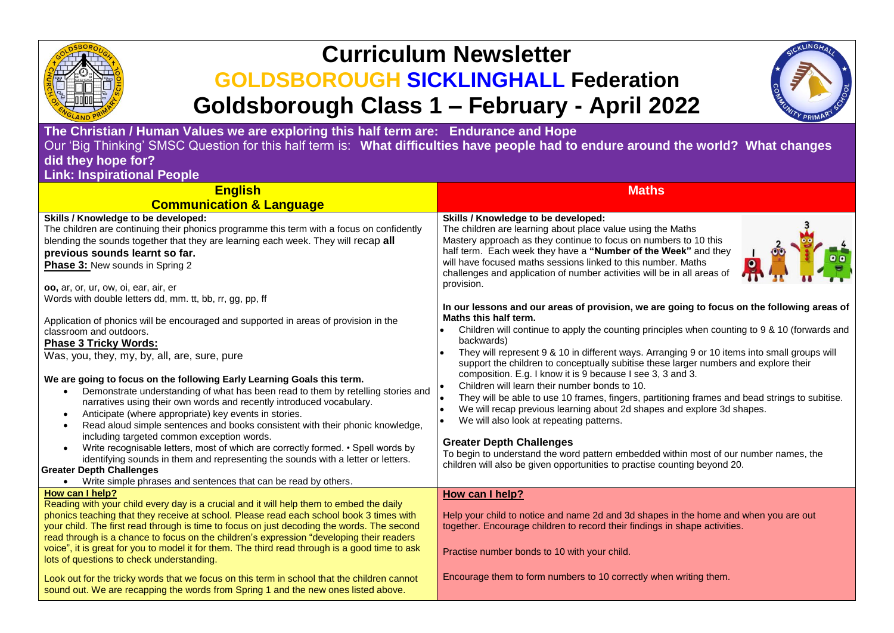

## **Curriculum Newsletter GOLDSBOROUGH SICKLINGHALL Federation Goldsborough Class 1 – February - April 2022**



**The Christian / Human Values we are exploring this half term are: Endurance and Hope** Our 'Big Thinking' SMSC Question for this half term is: **What difficulties have people had to endure around the world? What changes did they hope for?**

**Link: Inspirational People**

| <b>Maths</b>                                                                                                                                                                                                                                                                                                                                                                                                                                                                                                                                                                                                                                                                                                                                                                                                                                                                                                                                                                                                                                                                                                                                                                                                                                                                                                                                                                     |  |
|----------------------------------------------------------------------------------------------------------------------------------------------------------------------------------------------------------------------------------------------------------------------------------------------------------------------------------------------------------------------------------------------------------------------------------------------------------------------------------------------------------------------------------------------------------------------------------------------------------------------------------------------------------------------------------------------------------------------------------------------------------------------------------------------------------------------------------------------------------------------------------------------------------------------------------------------------------------------------------------------------------------------------------------------------------------------------------------------------------------------------------------------------------------------------------------------------------------------------------------------------------------------------------------------------------------------------------------------------------------------------------|--|
|                                                                                                                                                                                                                                                                                                                                                                                                                                                                                                                                                                                                                                                                                                                                                                                                                                                                                                                                                                                                                                                                                                                                                                                                                                                                                                                                                                                  |  |
| Skills / Knowledge to be developed:<br>The children are learning about place value using the Maths<br>Mastery approach as they continue to focus on numbers to 10 this<br>half term. Each week they have a "Number of the Week" and they<br>will have focused maths sessions linked to this number. Maths<br>challenges and application of number activities will be in all areas of<br>provision.<br>In our lessons and our areas of provision, we are going to focus on the following areas of<br>Maths this half term.<br>Children will continue to apply the counting principles when counting to 9 & 10 (forwards and<br>backwards)<br>They will represent 9 & 10 in different ways. Arranging 9 or 10 items into small groups will<br>support the children to conceptually subitise these larger numbers and explore their<br>composition. E.g. I know it is 9 because I see 3, 3 and 3.<br>Children will learn their number bonds to 10.<br>They will be able to use 10 frames, fingers, partitioning frames and bead strings to subitise.<br>We will recap previous learning about 2d shapes and explore 3d shapes.<br>We will also look at repeating patterns.<br><b>Greater Depth Challenges</b><br>To begin to understand the word pattern embedded within most of our number names, the<br>children will also be given opportunities to practise counting beyond 20. |  |
| How can I help?                                                                                                                                                                                                                                                                                                                                                                                                                                                                                                                                                                                                                                                                                                                                                                                                                                                                                                                                                                                                                                                                                                                                                                                                                                                                                                                                                                  |  |
| Help your child to notice and name 2d and 3d shapes in the home and when you are out<br>together. Encourage children to record their findings in shape activities.<br>Practise number bonds to 10 with your child.<br>Encourage them to form numbers to 10 correctly when writing them.                                                                                                                                                                                                                                                                                                                                                                                                                                                                                                                                                                                                                                                                                                                                                                                                                                                                                                                                                                                                                                                                                          |  |
|                                                                                                                                                                                                                                                                                                                                                                                                                                                                                                                                                                                                                                                                                                                                                                                                                                                                                                                                                                                                                                                                                                                                                                                                                                                                                                                                                                                  |  |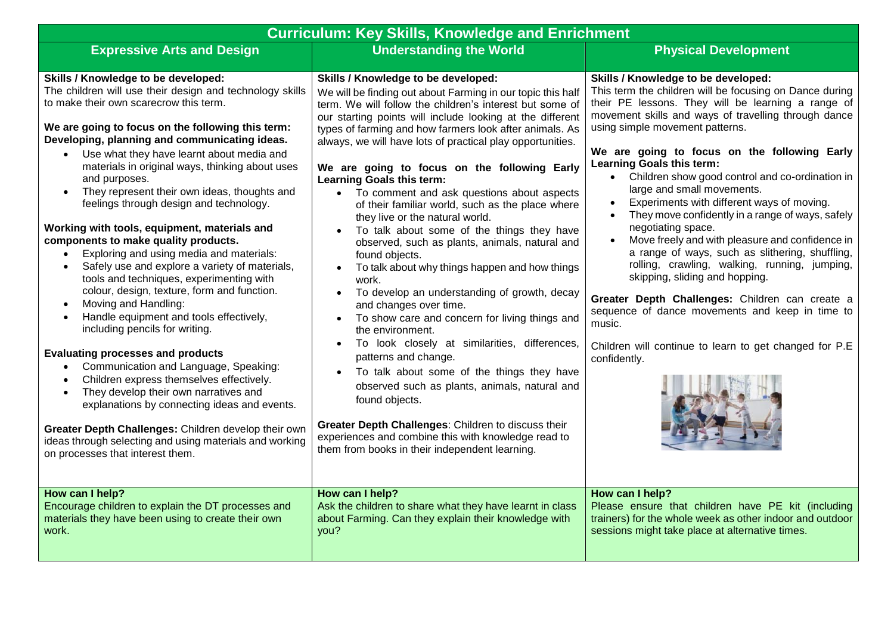| <b>Curriculum: Key Skills, Knowledge and Enrichment</b>                                                                                                                                                                                                                                                                                                                                                                                                                                                                                                                                                                                                                                                                                                                                                                                                                                                                                                                                                                                                                                                                                                                                                                                                                                             |                                                                                                                                                                                                                                                                                                                                                                                                                                                                                                                                                                                                                                                                                                                                                                                                                                                                                                                                                                                                                                                                                                                                                                                                                                                                              |                                                                                                                                                                                                                                                                                                                                                                                                                                                                                                                                                                                                                                                                                                                                                                                                                                                                                                                                                      |  |  |  |
|-----------------------------------------------------------------------------------------------------------------------------------------------------------------------------------------------------------------------------------------------------------------------------------------------------------------------------------------------------------------------------------------------------------------------------------------------------------------------------------------------------------------------------------------------------------------------------------------------------------------------------------------------------------------------------------------------------------------------------------------------------------------------------------------------------------------------------------------------------------------------------------------------------------------------------------------------------------------------------------------------------------------------------------------------------------------------------------------------------------------------------------------------------------------------------------------------------------------------------------------------------------------------------------------------------|------------------------------------------------------------------------------------------------------------------------------------------------------------------------------------------------------------------------------------------------------------------------------------------------------------------------------------------------------------------------------------------------------------------------------------------------------------------------------------------------------------------------------------------------------------------------------------------------------------------------------------------------------------------------------------------------------------------------------------------------------------------------------------------------------------------------------------------------------------------------------------------------------------------------------------------------------------------------------------------------------------------------------------------------------------------------------------------------------------------------------------------------------------------------------------------------------------------------------------------------------------------------------|------------------------------------------------------------------------------------------------------------------------------------------------------------------------------------------------------------------------------------------------------------------------------------------------------------------------------------------------------------------------------------------------------------------------------------------------------------------------------------------------------------------------------------------------------------------------------------------------------------------------------------------------------------------------------------------------------------------------------------------------------------------------------------------------------------------------------------------------------------------------------------------------------------------------------------------------------|--|--|--|
| <b>Expressive Arts and Design</b>                                                                                                                                                                                                                                                                                                                                                                                                                                                                                                                                                                                                                                                                                                                                                                                                                                                                                                                                                                                                                                                                                                                                                                                                                                                                   | <b>Understanding the World</b>                                                                                                                                                                                                                                                                                                                                                                                                                                                                                                                                                                                                                                                                                                                                                                                                                                                                                                                                                                                                                                                                                                                                                                                                                                               | <b>Physical Development</b>                                                                                                                                                                                                                                                                                                                                                                                                                                                                                                                                                                                                                                                                                                                                                                                                                                                                                                                          |  |  |  |
| Skills / Knowledge to be developed:<br>The children will use their design and technology skills<br>to make their own scarecrow this term.<br>We are going to focus on the following this term:<br>Developing, planning and communicating ideas.<br>Use what they have learnt about media and<br>$\bullet$<br>materials in original ways, thinking about uses<br>and purposes.<br>They represent their own ideas, thoughts and<br>$\bullet$<br>feelings through design and technology.<br>Working with tools, equipment, materials and<br>components to make quality products.<br>Exploring and using media and materials:<br>Safely use and explore a variety of materials,<br>tools and techniques, experimenting with<br>colour, design, texture, form and function.<br>Moving and Handling:<br>$\bullet$<br>Handle equipment and tools effectively,<br>including pencils for writing.<br><b>Evaluating processes and products</b><br>Communication and Language, Speaking:<br>Children express themselves effectively.<br>$\bullet$<br>They develop their own narratives and<br>$\bullet$<br>explanations by connecting ideas and events.<br>Greater Depth Challenges: Children develop their own<br>ideas through selecting and using materials and working<br>on processes that interest them. | Skills / Knowledge to be developed:<br>We will be finding out about Farming in our topic this half<br>term. We will follow the children's interest but some of<br>our starting points will include looking at the different<br>types of farming and how farmers look after animals. As<br>always, we will have lots of practical play opportunities.<br>We are going to focus on the following Early<br>Learning Goals this term:<br>• To comment and ask questions about aspects<br>of their familiar world, such as the place where<br>they live or the natural world.<br>To talk about some of the things they have<br>observed, such as plants, animals, natural and<br>found objects.<br>To talk about why things happen and how things<br>work.<br>To develop an understanding of growth, decay<br>and changes over time.<br>To show care and concern for living things and<br>$\bullet$<br>the environment.<br>To look closely at similarities, differences,<br>patterns and change.<br>To talk about some of the things they have<br>observed such as plants, animals, natural and<br>found objects.<br>Greater Depth Challenges: Children to discuss their<br>experiences and combine this with knowledge read to<br>them from books in their independent learning. | Skills / Knowledge to be developed:<br>This term the children will be focusing on Dance during<br>their PE lessons. They will be learning a range of<br>movement skills and ways of travelling through dance<br>using simple movement patterns.<br>We are going to focus on the following Early<br>Learning Goals this term:<br>• Children show good control and co-ordination in<br>large and small movements.<br>Experiments with different ways of moving.<br>$\bullet$<br>They move confidently in a range of ways, safely<br>negotiating space.<br>Move freely and with pleasure and confidence in<br>$\bullet$<br>a range of ways, such as slithering, shuffling,<br>rolling, crawling, walking, running, jumping,<br>skipping, sliding and hopping.<br>Greater Depth Challenges: Children can create a<br>sequence of dance movements and keep in time to<br>music.<br>Children will continue to learn to get changed for P.E<br>confidently. |  |  |  |
| How can I help?<br>Encourage children to explain the DT processes and<br>materials they have been using to create their own<br>work.                                                                                                                                                                                                                                                                                                                                                                                                                                                                                                                                                                                                                                                                                                                                                                                                                                                                                                                                                                                                                                                                                                                                                                | How can I help?<br>Ask the children to share what they have learnt in class<br>about Farming. Can they explain their knowledge with<br>you?                                                                                                                                                                                                                                                                                                                                                                                                                                                                                                                                                                                                                                                                                                                                                                                                                                                                                                                                                                                                                                                                                                                                  | How can I help?<br>Please ensure that children have PE kit (including<br>trainers) for the whole week as other indoor and outdoor<br>sessions might take place at alternative times.                                                                                                                                                                                                                                                                                                                                                                                                                                                                                                                                                                                                                                                                                                                                                                 |  |  |  |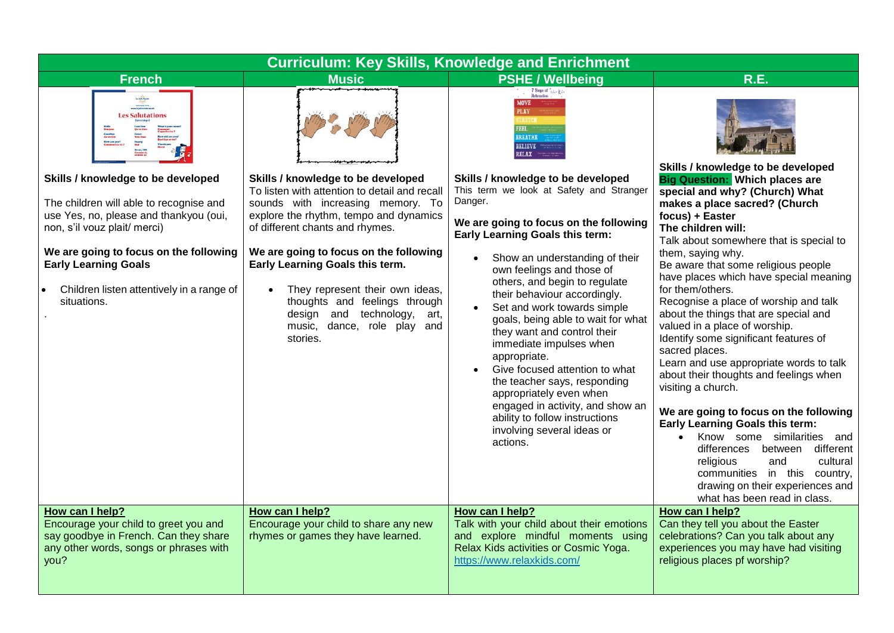| <b>Curriculum: Key Skills, Knowledge and Enrichment</b>                                                                                                                                                                                                                                      |                                                                                                                                                                                                                                                                                                                                                                                                                                     |                                                                                                                                                                                                                                                                                                                                                                                                                                                                                                                                                                                                                                                                                 |                                                                                                                                                                                                                                                                                                                                                                                                                                                                                                                                                                                                                                                                                                                                                                                                                                                                          |  |  |
|----------------------------------------------------------------------------------------------------------------------------------------------------------------------------------------------------------------------------------------------------------------------------------------------|-------------------------------------------------------------------------------------------------------------------------------------------------------------------------------------------------------------------------------------------------------------------------------------------------------------------------------------------------------------------------------------------------------------------------------------|---------------------------------------------------------------------------------------------------------------------------------------------------------------------------------------------------------------------------------------------------------------------------------------------------------------------------------------------------------------------------------------------------------------------------------------------------------------------------------------------------------------------------------------------------------------------------------------------------------------------------------------------------------------------------------|--------------------------------------------------------------------------------------------------------------------------------------------------------------------------------------------------------------------------------------------------------------------------------------------------------------------------------------------------------------------------------------------------------------------------------------------------------------------------------------------------------------------------------------------------------------------------------------------------------------------------------------------------------------------------------------------------------------------------------------------------------------------------------------------------------------------------------------------------------------------------|--|--|
| <b>French</b>                                                                                                                                                                                                                                                                                | <b>Music</b>                                                                                                                                                                                                                                                                                                                                                                                                                        | <b>PSHE / Wellbeing</b>                                                                                                                                                                                                                                                                                                                                                                                                                                                                                                                                                                                                                                                         | R.E.                                                                                                                                                                                                                                                                                                                                                                                                                                                                                                                                                                                                                                                                                                                                                                                                                                                                     |  |  |
| to hele Rande<br>Digita<br>was highly made an al<br><b>Les Salutations</b><br>Great<br>Très bles<br>Poorty<br>Mal                                                                                                                                                                            |                                                                                                                                                                                                                                                                                                                                                                                                                                     | 7 Steps of $\frac{1}{r_c \ln x}$ $k \ln x$<br><b>MOVE</b><br><b>PLAY</b><br>FEET.<br><b>BREATHE</b><br><b>BELIEVE</b><br><b>RELAX</b>                                                                                                                                                                                                                                                                                                                                                                                                                                                                                                                                           | Skills / knowledge to be developed                                                                                                                                                                                                                                                                                                                                                                                                                                                                                                                                                                                                                                                                                                                                                                                                                                       |  |  |
| Skills / knowledge to be developed<br>The children will able to recognise and<br>use Yes, no, please and thankyou (oui,<br>non, s'il vouz plait/ merci)<br>We are going to focus on the following<br><b>Early Learning Goals</b><br>Children listen attentively in a range of<br>situations. | Skills / knowledge to be developed<br>To listen with attention to detail and recall<br>sounds with increasing memory. To<br>explore the rhythm, tempo and dynamics<br>of different chants and rhymes.<br>We are going to focus on the following<br>Early Learning Goals this term.<br>They represent their own ideas,<br>thoughts and feelings through<br>design and technology,<br>art,<br>music, dance, role play and<br>stories. | Skills / knowledge to be developed<br>This term we look at Safety and Stranger<br>Danger.<br>We are going to focus on the following<br>Early Learning Goals this term:<br>Show an understanding of their<br>$\bullet$<br>own feelings and those of<br>others, and begin to regulate<br>their behaviour accordingly.<br>Set and work towards simple<br>goals, being able to wait for what<br>they want and control their<br>immediate impulses when<br>appropriate.<br>Give focused attention to what<br>the teacher says, responding<br>appropriately even when<br>engaged in activity, and show an<br>ability to follow instructions<br>involving several ideas or<br>actions. | <b>Big Question: Which places are</b><br>special and why? (Church) What<br>makes a place sacred? (Church<br>focus) + Easter<br>The children will:<br>Talk about somewhere that is special to<br>them, saying why.<br>Be aware that some religious people<br>have places which have special meaning<br>for them/others.<br>Recognise a place of worship and talk<br>about the things that are special and<br>valued in a place of worship.<br>Identify some significant features of<br>sacred places.<br>Learn and use appropriate words to talk<br>about their thoughts and feelings when<br>visiting a church.<br>We are going to focus on the following<br><b>Early Learning Goals this term:</b><br>• Know some similarities and<br>differences between different<br>religious<br>cultural<br>and<br>communities in this country,<br>drawing on their experiences and |  |  |
| How can I help?<br>Encourage your child to greet you and<br>say goodbye in French. Can they share<br>any other words, songs or phrases with<br>you?                                                                                                                                          | How can I help?<br>Encourage your child to share any new<br>rhymes or games they have learned.                                                                                                                                                                                                                                                                                                                                      | How can I help?<br>Talk with your child about their emotions<br>and explore mindful moments using<br>Relax Kids activities or Cosmic Yoga.<br>https://www.relaxkids.com/                                                                                                                                                                                                                                                                                                                                                                                                                                                                                                        | what has been read in class.<br>How can I help?<br>Can they tell you about the Easter<br>celebrations? Can you talk about any<br>experiences you may have had visiting<br>religious places pf worship?                                                                                                                                                                                                                                                                                                                                                                                                                                                                                                                                                                                                                                                                   |  |  |